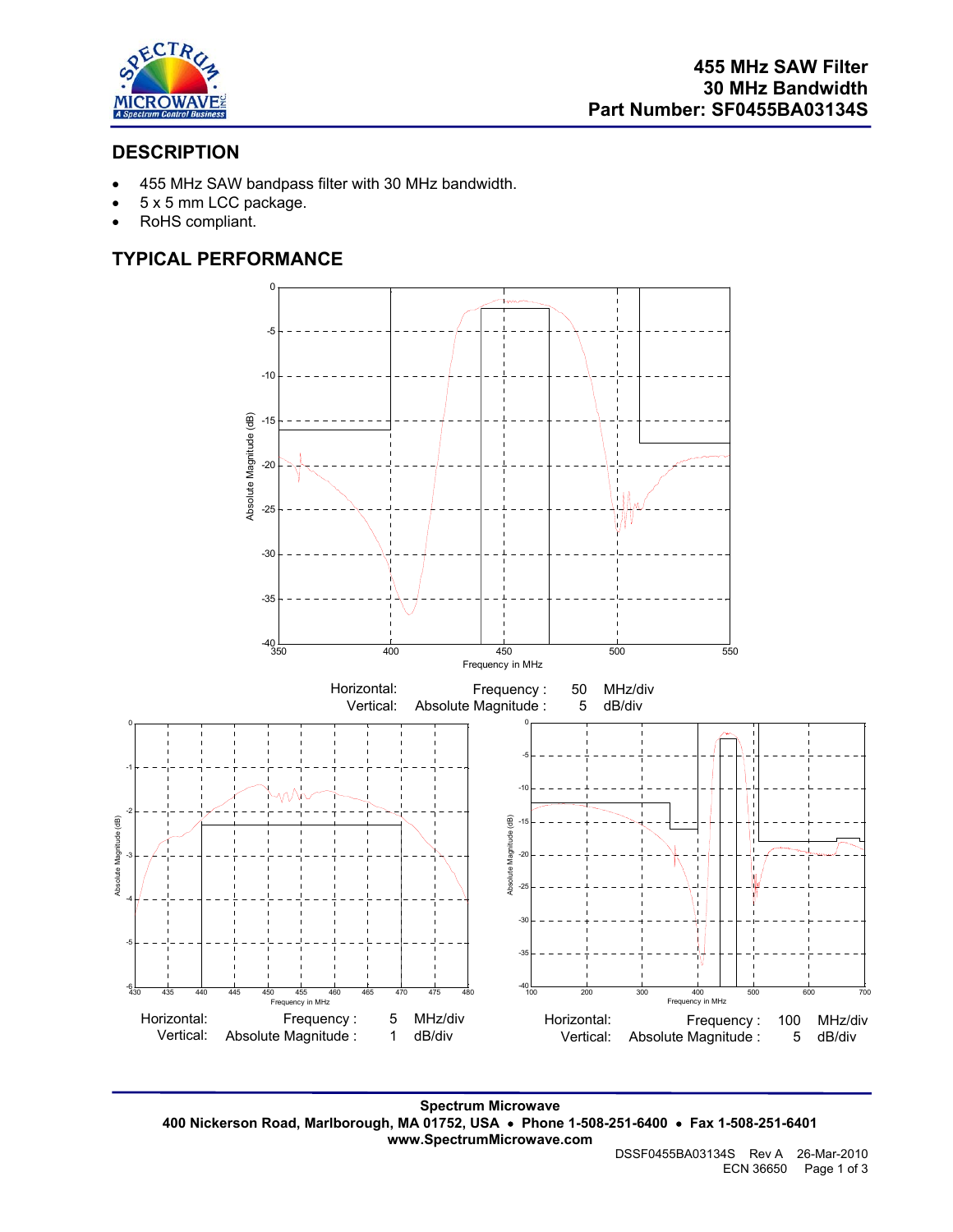

# **DESCRIPTION**

- 455 MHz SAW bandpass filter with 30 MHz bandwidth.
- 5 x 5 mm LCC package.
- RoHS compliant.

# **TYPICAL PERFORMANCE**



**Spectrum Microwave 400 Nickerson Road, Marlborough, MA 01752, USA** • **Phone 1-508-251-6400** • **Fax 1-508-251-6401 www.SpectrumMicrowave.com**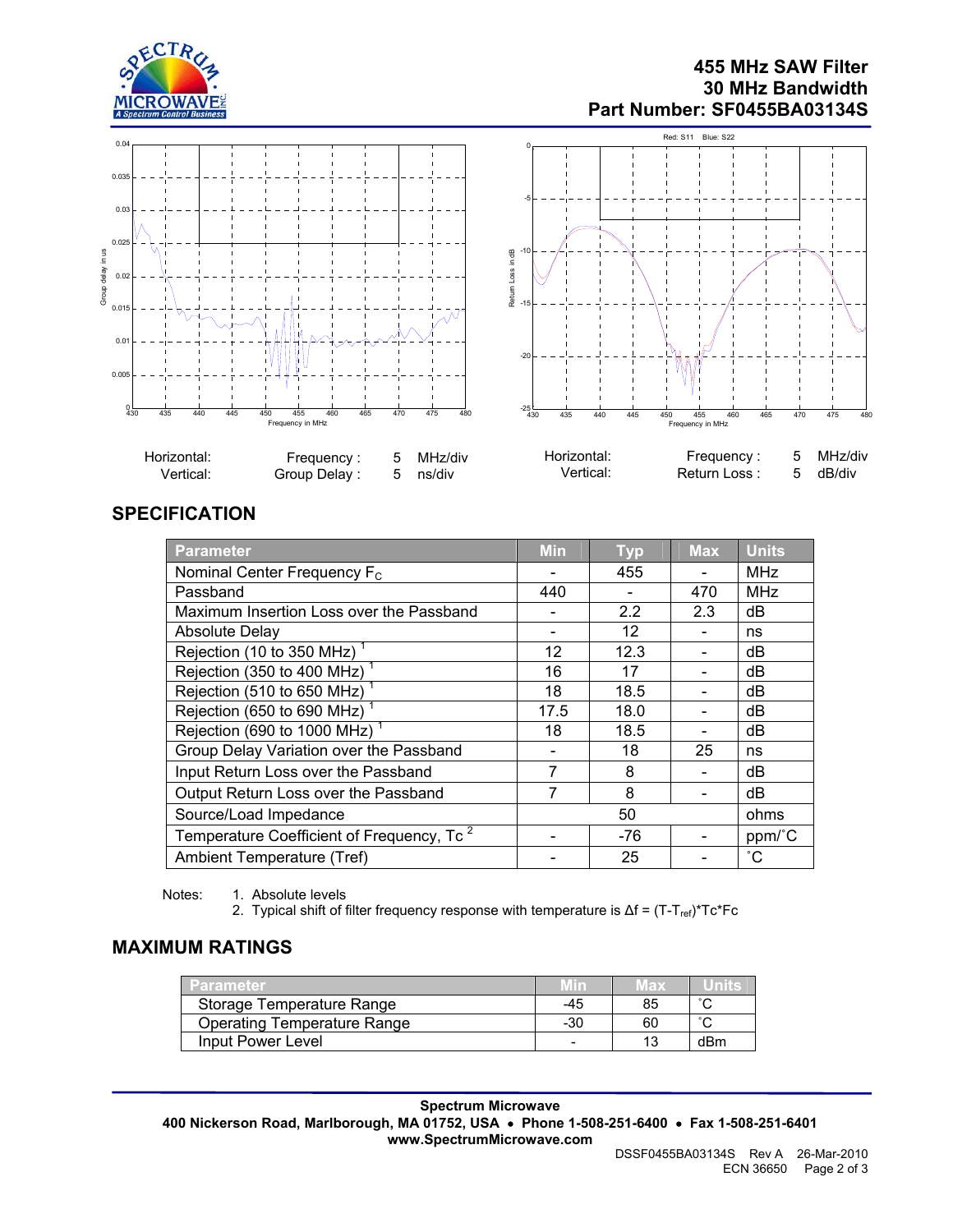

### **455 MHz SAW Filter 30 MHz Bandwidth Part Number: SF0455BA03134S**



# **SPECIFICATION**

| Parameter                                             | <b>Min</b> | <b>Typ</b> | <b>Max</b> | <b>Units</b>      |
|-------------------------------------------------------|------------|------------|------------|-------------------|
| Nominal Center Frequency F <sub>c</sub>               |            | 455        |            | <b>MHz</b>        |
| Passband                                              | 440        |            | 470        | <b>MHz</b>        |
| Maximum Insertion Loss over the Passband              |            | 2.2        | 2.3        | dB                |
| <b>Absolute Delay</b>                                 |            | 12         |            | ns                |
| Rejection (10 to 350 MHz)                             | 12         | 12.3       |            | dB                |
| Rejection (350 to 400 MHz) <sup>1</sup>               | 16         | 17         |            | dB                |
| Rejection (510 to 650 MHz)                            | 18         | 18.5       |            | dB                |
| Rejection (650 to 690 MHz) <sup>1</sup>               | 17.5       | 18.0       |            | dB                |
| Rejection (690 to 1000 MHz) <sup>1</sup>              | 18         | 18.5       |            | dB                |
| Group Delay Variation over the Passband               |            | 18         | 25         | ns                |
| Input Return Loss over the Passband                   | 7          | 8          |            | dB                |
| Output Return Loss over the Passband                  | 7          | 8          |            | dB                |
| Source/Load Impedance                                 | 50         |            |            | ohms              |
| Temperature Coefficient of Frequency, Tc <sup>2</sup> |            | -76        |            | ppm/°C            |
| Ambient Temperature (Tref)                            |            | 25         |            | $^{\circ}{\rm C}$ |

Notes: 1. Absolute levels

2. Typical shift of filter frequency response with temperature is Δf = (T-T<sub>ref)</sub>\*Tc\*Fc

# **MAXIMUM RATINGS**

| <b>Parameter</b>                   |     | vax |        |
|------------------------------------|-----|-----|--------|
| Storage Temperature Range          | -45 | 85  | $\sim$ |
| <b>Operating Temperature Range</b> | -30 | 60  | $\sim$ |
| Input Power Level                  |     |     | dBm    |

**Spectrum Microwave 400 Nickerson Road, Marlborough, MA 01752, USA** • **Phone 1-508-251-6400** • **Fax 1-508-251-6401 www.SpectrumMicrowave.com**